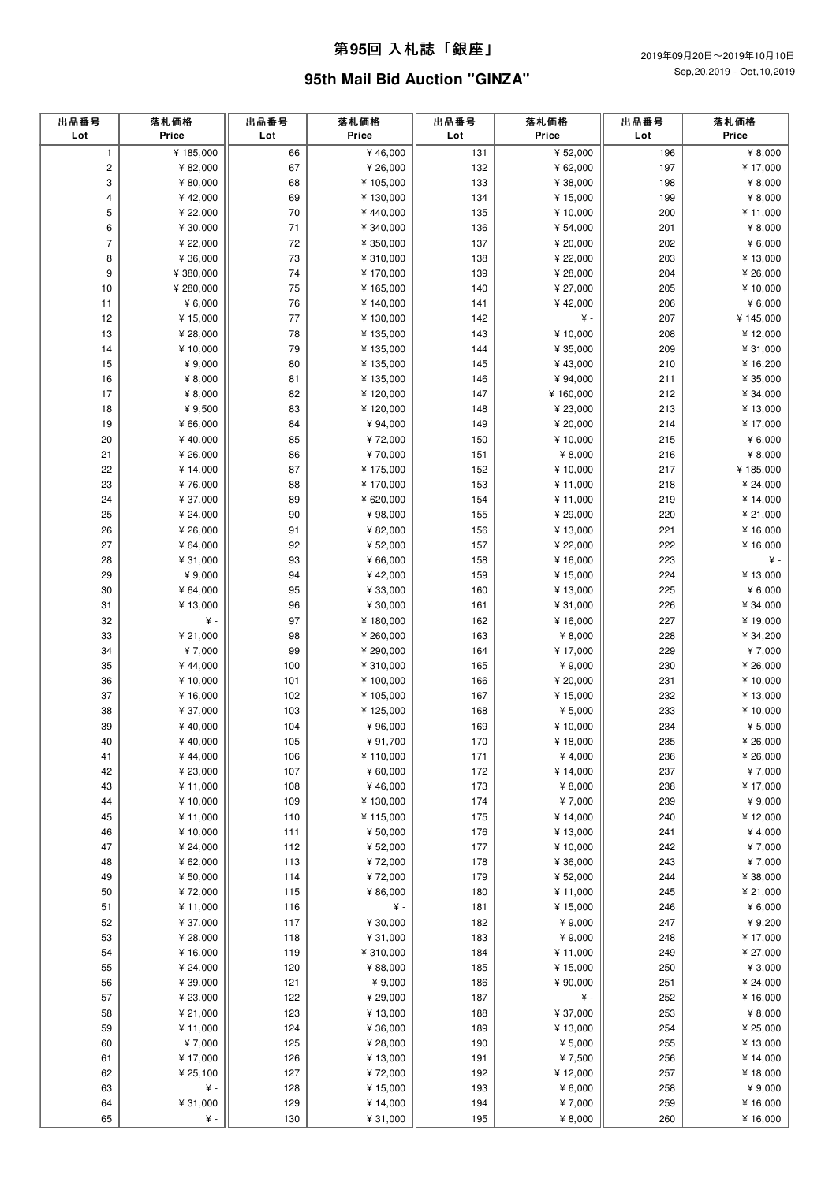#### 第**95**回 ⼊札誌「銀座」

## **95th Mail Bid Auction "GINZA"**

| 出品番号<br>Lot    | 落札価格<br>Price          | 出品番号<br>Lot | 落札価格<br>Price          | 出品番号<br>Lot | 落札価格<br>Price        | 出品番号<br>Lot | 落札価格<br>Price         |
|----------------|------------------------|-------------|------------------------|-------------|----------------------|-------------|-----------------------|
| $\mathbf{1}$   | ¥ 185,000              | 66          | ¥ 46,000               | 131         | ¥ 52,000             | 196         | ¥ 8,000               |
| $\mathbf 2$    | ¥ 82,000               | 67          | ¥ 26,000               | 132         | ¥ 62,000             | 197         | ¥ 17,000              |
| 3              | ¥ 80,000               | 68          | ¥ 105,000              | 133         | ¥ 38,000             | 198         | ¥ $8,000$             |
| 4              | ¥42,000                | 69          | ¥ 130,000              | 134         | ¥ 15,000             | 199         | ¥ $8,000$             |
| 5              | ¥ 22,000               | $70\,$      | ¥440,000               | 135         | ¥ 10,000             | 200         | ¥11,000               |
| 6              | ¥ 30,000               | 71          | ¥ 340,000              | 136         | ¥ 54,000             | 201         | ¥ 8,000               |
| $\overline{7}$ | ¥ 22,000               | 72          | ¥ 350,000              | 137         | ¥ 20,000             | 202         | ¥ $6,000$             |
| 8              | ¥ 36,000               | 73          | ¥ 310,000              | 138         | ¥ 22,000             | 203         | ¥ 13,000              |
| 9              | ¥ 380,000              | 74          | ¥ 170,000              | 139         | ¥ 28,000             | 204         | ¥ 26,000              |
| 10<br>11       | ¥ 280,000<br>¥ $6,000$ | 75<br>76    | ¥ 165,000<br>¥ 140,000 | 140<br>141  | ¥ 27,000<br>¥42,000  | 205<br>206  | ¥ 10,000<br>¥ $6,000$ |
| 12             | ¥ 15,000               | 77          | ¥ 130,000              | 142         | ¥ -                  | 207         | ¥ 145,000             |
| 13             | ¥ 28,000               | 78          | ¥ 135,000              | 143         | ¥ 10,000             | 208         | ¥12,000               |
| 14             | ¥10,000                | 79          | ¥ 135,000              | 144         | ¥ 35,000             | 209         | ¥ 31,000              |
| 15             | ¥ 9,000                | 80          | ¥ 135,000              | 145         | ¥43,000              | 210         | ¥16,200               |
| 16             | ¥ $8,000$              | 81          | ¥ 135,000              | 146         | ¥ 94,000             | 211         | ¥ 35,000              |
| 17             | ¥ $8,000$              | 82          | ¥120,000               | 147         | ¥160,000             | 212         | ¥ 34,000              |
| 18             | ¥ 9,500                | 83          | ¥120,000               | 148         | ¥ 23,000             | 213         | ¥ 13,000              |
| 19             | ¥ 66,000               | 84          | ¥ 94,000               | 149         | ¥ 20,000             | 214         | ¥17,000               |
| 20             | ¥40,000                | 85          | ¥72,000                | 150         | ¥ 10,000             | 215         | ¥ $6,000$             |
| 21             | ¥ 26,000               | 86          | ¥70,000                | 151         | ¥ $8,000$            | 216         | ¥ 8,000               |
| 22<br>23       | ¥ 14,000<br>¥76,000    | 87<br>88    | ¥ 175,000<br>¥ 170,000 | 152<br>153  | ¥ 10,000<br>¥ 11,000 | 217<br>218  | ¥185,000<br>¥ 24,000  |
| 24             | ¥ 37,000               | 89          | ¥ 620,000              | 154         | ¥ 11,000             | 219         | ¥ 14,000              |
| 25             | ¥ 24,000               | 90          | ¥98,000                | 155         | ¥ 29,000             | 220         | ¥ 21,000              |
| 26             | ¥ 26,000               | 91          | ¥ 82,000               | 156         | ¥ 13,000             | 221         | ¥ 16,000              |
| 27             | ¥ 64,000               | 92          | ¥ 52,000               | 157         | ¥ 22,000             | 222         | ¥ 16,000              |
| 28             | ¥ 31,000               | 93          | ¥ 66,000               | 158         | ¥ 16,000             | 223         | ¥ -                   |
| 29             | ¥ 9,000                | 94          | ¥42,000                | 159         | ¥ 15,000             | 224         | ¥13,000               |
| 30             | ¥ 64,000               | 95          | ¥ 33,000               | 160         | ¥ 13,000             | 225         | ¥ $6,000$             |
| 31             | ¥13,000                | 96          | ¥ 30,000               | 161         | ¥ 31,000             | 226         | ¥ 34,000              |
| 32             | ¥ -                    | 97          | ¥ 180,000              | 162         | ¥ 16,000             | 227         | ¥19,000               |
| 33             | ¥ 21,000               | 98<br>99    | ¥ 260,000              | 163         | ¥ $8,000$            | 228<br>229  | ¥ 34,200              |
| 34<br>35       | ¥7,000<br>¥44,000      | 100         | ¥ 290,000<br>¥ 310,000 | 164<br>165  | ¥ 17,000<br>¥ 9,000  | 230         | ¥7,000<br>¥ 26,000    |
| 36             | ¥ 10,000               | 101         | ¥ 100,000              | 166         | ¥ 20,000             | 231         | ¥ 10,000              |
| 37             | ¥16,000                | 102         | ¥ 105,000              | 167         | ¥15,000              | 232         | ¥ 13,000              |
| 38             | ¥ 37,000               | 103         | ¥ 125,000              | 168         | ¥ $5,000$            | 233         | ¥10,000               |
| 39             | ¥40,000                | 104         | ¥96,000                | 169         | ¥ 10,000             | 234         | ¥ 5,000               |
| 40             | ¥40,000                | 105         | ¥91,700                | 170         | ¥ 18,000             | 235         | ¥ 26,000              |
| 41             | ¥44,000                | 106         | ¥ 110,000              | 171         | ¥ 4,000              | 236         | ¥ 26,000              |
| 42             | ¥ 23,000               | 107         | ¥ 60,000               | 172         | ¥ 14,000             | 237         | ¥7,000                |
| 43             | ¥11,000                | 108         | ¥46,000                | 173         | ¥ 8,000              | 238         | ¥ 17,000              |
| 44             | ¥ 10,000               | 109         | ¥ 130,000              | 174         | ¥7,000               | 239         | ¥ 9,000               |
| 45<br>46       | ¥11,000<br>¥ 10,000    | 110<br>111  | ¥ 115,000<br>¥ 50,000  | 175<br>176  | ¥ 14,000<br>¥ 13,000 | 240<br>241  | ¥12,000<br>¥ 4,000    |
| 47             | ¥ 24,000               | 112         | ¥ 52,000               | 177         | ¥10,000              | 242         | ¥7,000                |
| 48             | ¥ 62,000               | 113         | ¥72,000                | 178         | ¥ 36,000             | 243         | ¥7,000                |
| 49             | ¥ 50,000               | 114         | ¥72,000                | 179         | ¥ 52,000             | 244         | ¥ 38,000              |
| 50             | ¥72,000                | 115         | ¥ 86,000               | 180         | ¥ 11,000             | 245         | ¥ 21,000              |
| 51             | ¥11,000                | 116         | ¥ -                    | 181         | ¥ 15,000             | 246         | ¥ $6,000$             |
| 52             | ¥ 37,000               | $117$       | ¥ 30,000               | 182         | ¥ 9,000              | 247         | ¥ 9,200               |
| 53             | ¥ 28,000               | 118         | ¥ 31,000               | 183         | ¥ 9,000              | 248         | ¥17,000               |
| 54             | ¥ 16,000               | 119         | ¥ 310,000              | 184         | ¥ 11,000             | 249         | ¥ 27,000              |
| 55             | ¥ 24,000               | 120         | ¥ 88,000               | 185         | ¥ 15,000<br>¥ 90,000 | 250<br>251  | ¥ $3,000$<br>¥ 24,000 |
| 56<br>57       | ¥ 39,000<br>¥ 23,000   | 121<br>122  | ¥ 9,000<br>¥ 29,000    | 186<br>187  | ¥ -                  | 252         | ¥ 16,000              |
| 58             | ¥ 21,000               | 123         | ¥ 13,000               | 188         | ¥ 37,000             | 253         | ¥ 8,000               |
| 59             | ¥ 11,000               | 124         | ¥ 36,000               | 189         | ¥ 13,000             | 254         | ¥ 25,000              |
| 60             | ¥7,000                 | 125         | ¥ 28,000               | 190         | ¥ $5,000$            | 255         | ¥ 13,000              |
| 61             | ¥ 17,000               | 126         | ¥ 13,000               | 191         | ¥7,500               | 256         | ¥ 14,000              |
| 62             | ¥ 25,100               | 127         | ¥72,000                | 192         | ¥ 12,000             | 257         | ¥ 18,000              |
| 63             | $\mathbf{\nabla}$ -    | 128         | ¥ 15,000               | 193         | ¥ $6,000$            | 258         | ¥ 9,000               |
| 64             | ¥ 31,000               | 129         | ¥ 14,000               | 194         | ¥7,000               | 259         | ¥16,000               |
| 65             | ¥ -                    | 130         | ¥ 31,000               | 195         | ¥ $8,000$            | 260         | ¥ 16,000              |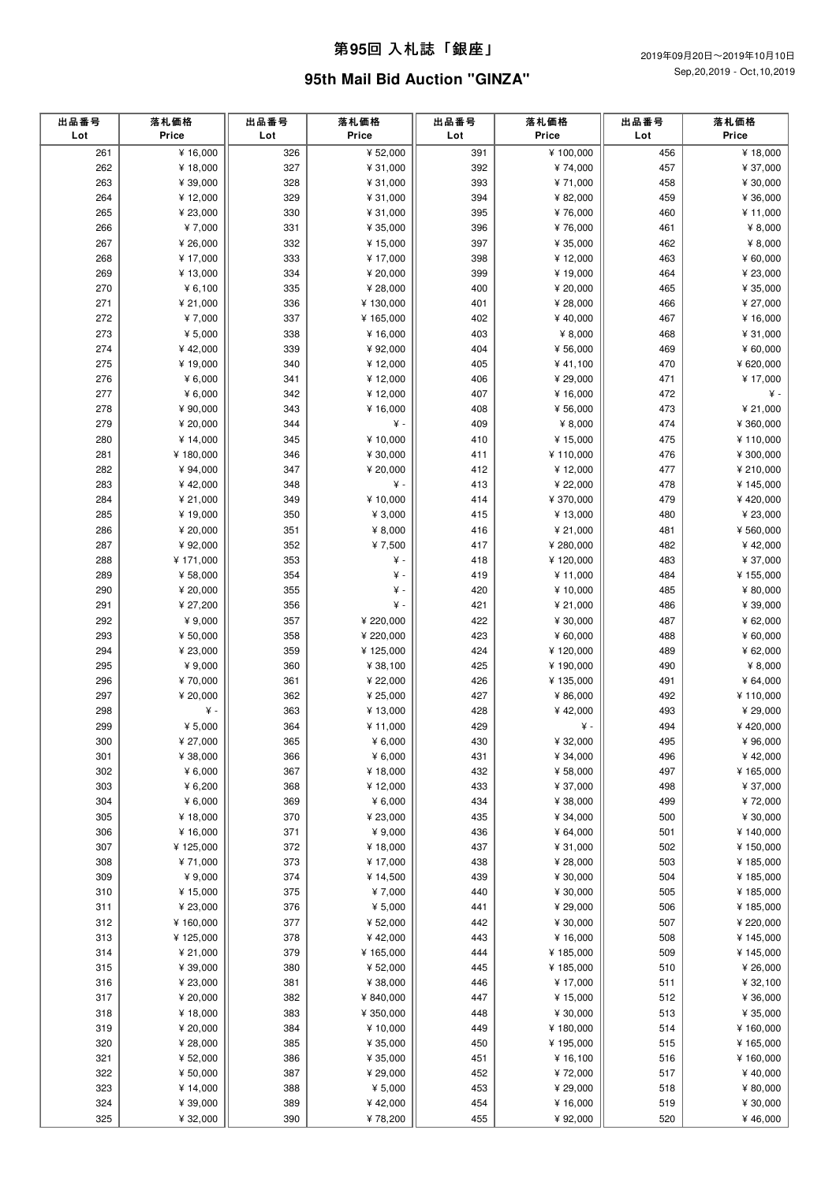## 第**95**回 ⼊札誌「銀座」

# **95th Mail Bid Auction "GINZA"**

| ¥ 16,000<br>¥ 52,000<br>261<br>326<br>391<br>¥100,000<br>456<br>¥18,000<br>327<br>392<br>262<br>¥18,000<br>¥ 31,000<br>¥74,000<br>457<br>¥ 37,000<br>263<br>328<br>393<br>¥ 39,000<br>¥ 31,000<br>¥71,000<br>458<br>¥ 30,000<br>264<br>329<br>394<br>459<br>¥12,000<br>¥ 31,000<br>¥ 82,000<br>¥ 36,000<br>265<br>¥ 23,000<br>330<br>¥ 31,000<br>395<br>¥76,000<br>460<br>¥ 11,000<br>266<br>¥7,000<br>331<br>396<br>¥76,000<br>¥ $8,000$<br>¥ 35,000<br>461<br>267<br>¥ 26,000<br>332<br>¥ 15,000<br>397<br>¥ 35,000<br>462<br>¥ $8,000$<br>268<br>¥ 17,000<br>333<br>398<br>463<br>¥17,000<br>¥ 12,000<br>¥ 60,000<br>269<br>399<br>¥13,000<br>334<br>¥ 20,000<br>¥ 19,000<br>464<br>¥ 23,000<br>270<br>¥ $6,100$<br>335<br>¥ 28,000<br>400<br>¥ 20,000<br>465<br>¥ 35,000<br>271<br>¥ 21,000<br>336<br>¥ 130,000<br>401<br>¥ 28,000<br>466<br>¥ 27,000<br>272<br>¥7,000<br>337<br>402<br>467<br>¥ 16,000<br>¥ 165,000<br>¥40,000<br>273<br>¥ $5,000$<br>338<br>¥16,000<br>403<br>¥ 8,000<br>468<br>¥ 31,000<br>274<br>339<br>¥42,000<br>¥ 92,000<br>404<br>¥ 56,000<br>469<br>¥ 60,000<br>275<br>¥19,000<br>340<br>¥12,000<br>405<br>¥41,100<br>470<br>¥ 620,000<br>276<br>¥ 17,000<br>¥ $6,000$<br>341<br>¥12,000<br>406<br>¥ 29,000<br>471<br>407<br>277<br>¥ $6,000$<br>342<br>¥12,000<br>¥ 16,000<br>472<br>¥ -<br>278<br>¥ 90,000<br>343<br>¥ 16,000<br>408<br>473<br>¥ 21,000<br>¥ 56,000<br>279<br>¥ 20,000<br>344<br>¥ -<br>409<br>¥ 8,000<br>474<br>¥ 360,000<br>280<br>¥ 10,000<br>¥110,000<br>¥ 14,000<br>345<br>410<br>¥ 15,000<br>475<br>281<br>¥180,000<br>346<br>¥ 30,000<br>411<br>476<br>¥ 300,000<br>¥110,000<br>282<br>¥ 94,000<br>347<br>¥ 20,000<br>412<br>477<br>¥12,000<br>¥ 210,000<br>283<br>¥ -<br>¥42,000<br>348<br>413<br>478<br>¥145,000<br>¥ 22,000<br>284<br>¥ 21,000<br>349<br>¥ 10,000<br>414<br>¥ 370,000<br>479<br>¥420,000<br>285<br>¥19,000<br>350<br>¥ $3,000$<br>415<br>¥ 13,000<br>480<br>¥ 23,000<br>¥ 8,000<br>286<br>¥ 20,000<br>351<br>416<br>¥ 21,000<br>481<br>¥ 560,000<br>287<br>417<br>¥ 92,000<br>352<br>¥7,500<br>¥ 280,000<br>482<br>¥42,000<br>288<br>¥ 171,000<br>353<br>¥ -<br>483<br>418<br>¥120,000<br>¥ 37,000<br>289<br>¥ 58,000<br>354<br>¥<br>419<br>¥ 11,000<br>484<br>¥ 155,000<br>290<br>¥ 20,000<br>355<br>¥<br>420<br>¥ 10,000<br>485<br>¥ 80,000<br>¥ -<br>291<br>¥ 27,200<br>356<br>421<br>¥ 21,000<br>486<br>¥ 39,000<br>292<br>357<br>422<br>487<br>¥ 9,000<br>¥ 220,000<br>¥ 30,000<br>¥ 62,000<br>293<br>423<br>¥ 50,000<br>358<br>¥ 220,000<br>¥ 60,000<br>488<br>¥ 60,000<br>294<br>¥ 23,000<br>359<br>¥125,000<br>424<br>¥120,000<br>489<br>¥ 62,000<br>¥ 8,000<br>295<br>¥ 9,000<br>360<br>¥ 38,100<br>425<br>¥190,000<br>490<br>296<br>¥70,000<br>361<br>¥ 22,000<br>426<br>¥135,000<br>491<br>¥ 64,000<br>297<br>¥ 20,000<br>362<br>¥ 25,000<br>427<br>¥ 86,000<br>492<br>¥110,000<br>¥ -<br>298<br>363<br>¥13,000<br>428<br>¥42,000<br>493<br>¥ 29,000<br>429<br>299<br>¥ $5,000$<br>364<br>¥ 11,000<br>¥ -<br>494<br>¥420,000<br>365<br>430<br>495<br>300<br>¥ 27,000<br>¥ 6,000<br>¥ 32,000<br>¥ 96,000<br>¥ 38,000<br>366<br>¥ 6,000<br>431<br>¥ 34,000<br>496<br>¥42,000<br>301<br>367<br>302<br>¥ $6,000$<br>¥ 18,000<br>432<br>¥ 58,000<br>497<br>¥ 165,000<br>433<br>303<br>¥ $6,200$<br>368<br>¥12,000<br>¥ 37,000<br>498<br>¥ 37,000<br>304<br>¥ 6,000<br>369<br>¥ 6,000<br>434<br>¥ 38,000<br>499<br>¥72,000<br>370<br>435<br>305<br>¥18,000<br>¥ 23,000<br>¥ 34,000<br>500<br>¥ 30,000<br>306<br>371<br>¥ 9,000<br>436<br>¥ 64,000<br>501<br>¥140,000<br>¥16,000<br>307<br>372<br>437<br>¥125,000<br>¥ 18,000<br>¥ 31,000<br>502<br>¥ 150,000<br>308<br>¥71,000<br>373<br>¥17,000<br>438<br>¥ 28,000<br>503<br>¥185,000<br>309<br>¥ 9,000<br>374<br>¥ 14,500<br>439<br>¥ 30,000<br>504<br>¥185,000<br>310<br>¥ 15,000<br>375<br>¥7,000<br>440<br>¥ 30,000<br>505<br>¥185,000<br>311<br>¥ 23,000<br>376<br>¥ 5,000<br>441<br>¥ 29,000<br>506<br>¥185,000<br>312<br>377<br>¥ 160,000<br>¥ 52,000<br>442<br>¥ 30,000<br>507<br>¥ 220,000<br>313<br>¥125,000<br>378<br>¥42,000<br>443<br>¥ 16,000<br>508<br>¥ 145,000<br>314<br>¥ 21,000<br>379<br>¥ 165,000<br>444<br>¥185,000<br>509<br>¥ 145,000<br>315<br>¥ 39,000<br>380<br>¥ 52,000<br>445<br>¥185,000<br>510<br>¥ 26,000<br>446<br>316<br>¥ 23,000<br>381<br>¥ 38,000<br>¥ 17,000<br>511<br>¥ 32,100<br>317<br>447<br>¥ 20,000<br>382<br>¥ 840,000<br>¥ 15,000<br>512<br>¥ 36,000<br>318<br>¥18,000<br>383<br>¥ 350,000<br>448<br>¥ 30,000<br>513<br>¥ 35,000<br>319<br>¥ 20,000<br>384<br>¥ 10,000<br>449<br>¥180,000<br>514<br>¥ 160,000<br>320<br>¥ 28,000<br>385<br>¥ 35,000<br>450<br>¥195,000<br>¥ 165,000<br>515<br>386<br>451<br>321<br>¥ 52,000<br>¥ 35,000<br>¥ 16,100<br>516<br>¥160,000<br>322<br>¥ 50,000<br>387<br>¥ 29,000<br>452<br>¥72,000<br>517<br>¥40,000<br>323<br>¥ 14,000<br>388<br>¥ 5,000<br>453<br>¥ 29,000<br>518<br>¥ 80,000<br>324<br>¥ 39,000<br>389<br>¥42,000<br>454<br>¥ 16,000<br>519<br>¥ 30,000<br>325<br>¥ 32,000<br>390<br>¥78,200<br>455<br>¥ 92,000<br>520<br>¥46,000 | 出品番号<br>Lot | 落札価格<br>Price | 出品番号<br>Lot | 落札価格<br>Price | 出品番号<br>Lot | 落札価格<br>Price | 出品番号<br>Lot | 落札価格<br>Price |
|---------------------------------------------------------------------------------------------------------------------------------------------------------------------------------------------------------------------------------------------------------------------------------------------------------------------------------------------------------------------------------------------------------------------------------------------------------------------------------------------------------------------------------------------------------------------------------------------------------------------------------------------------------------------------------------------------------------------------------------------------------------------------------------------------------------------------------------------------------------------------------------------------------------------------------------------------------------------------------------------------------------------------------------------------------------------------------------------------------------------------------------------------------------------------------------------------------------------------------------------------------------------------------------------------------------------------------------------------------------------------------------------------------------------------------------------------------------------------------------------------------------------------------------------------------------------------------------------------------------------------------------------------------------------------------------------------------------------------------------------------------------------------------------------------------------------------------------------------------------------------------------------------------------------------------------------------------------------------------------------------------------------------------------------------------------------------------------------------------------------------------------------------------------------------------------------------------------------------------------------------------------------------------------------------------------------------------------------------------------------------------------------------------------------------------------------------------------------------------------------------------------------------------------------------------------------------------------------------------------------------------------------------------------------------------------------------------------------------------------------------------------------------------------------------------------------------------------------------------------------------------------------------------------------------------------------------------------------------------------------------------------------------------------------------------------------------------------------------------------------------------------------------------------------------------------------------------------------------------------------------------------------------------------------------------------------------------------------------------------------------------------------------------------------------------------------------------------------------------------------------------------------------------------------------------------------------------------------------------------------------------------------------------------------------------------------------------------------------------------------------------------------------------------------------------------------------------------------------------------------------------------------------------------------------------------------------------------------------------------------------------------------------------------------------------------------------------------------------------------------------------------------------------------------------------------------------------------------------------------------------------------------------------------------------------------------------------------------------------------------------------------------------------------------------------------------------------------------------------------------------------------------------------------------------------------------------------------------------------------------------------------------------------------------------------------------------------------------------------------------------------------------------------------------------------------------------------------------------------------------------------------------------------------------------------------------------------------------------------------------------------------------------------------------------------------|-------------|---------------|-------------|---------------|-------------|---------------|-------------|---------------|
|                                                                                                                                                                                                                                                                                                                                                                                                                                                                                                                                                                                                                                                                                                                                                                                                                                                                                                                                                                                                                                                                                                                                                                                                                                                                                                                                                                                                                                                                                                                                                                                                                                                                                                                                                                                                                                                                                                                                                                                                                                                                                                                                                                                                                                                                                                                                                                                                                                                                                                                                                                                                                                                                                                                                                                                                                                                                                                                                                                                                                                                                                                                                                                                                                                                                                                                                                                                                                                                                                                                                                                                                                                                                                                                                                                                                                                                                                                                                                                                                                                                                                                                                                                                                                                                                                                                                                                                                                                                                                                                                                                                                                                                                                                                                                                                                                                                                                                                                                                                                                                                               |             |               |             |               |             |               |             |               |
|                                                                                                                                                                                                                                                                                                                                                                                                                                                                                                                                                                                                                                                                                                                                                                                                                                                                                                                                                                                                                                                                                                                                                                                                                                                                                                                                                                                                                                                                                                                                                                                                                                                                                                                                                                                                                                                                                                                                                                                                                                                                                                                                                                                                                                                                                                                                                                                                                                                                                                                                                                                                                                                                                                                                                                                                                                                                                                                                                                                                                                                                                                                                                                                                                                                                                                                                                                                                                                                                                                                                                                                                                                                                                                                                                                                                                                                                                                                                                                                                                                                                                                                                                                                                                                                                                                                                                                                                                                                                                                                                                                                                                                                                                                                                                                                                                                                                                                                                                                                                                                                               |             |               |             |               |             |               |             |               |
|                                                                                                                                                                                                                                                                                                                                                                                                                                                                                                                                                                                                                                                                                                                                                                                                                                                                                                                                                                                                                                                                                                                                                                                                                                                                                                                                                                                                                                                                                                                                                                                                                                                                                                                                                                                                                                                                                                                                                                                                                                                                                                                                                                                                                                                                                                                                                                                                                                                                                                                                                                                                                                                                                                                                                                                                                                                                                                                                                                                                                                                                                                                                                                                                                                                                                                                                                                                                                                                                                                                                                                                                                                                                                                                                                                                                                                                                                                                                                                                                                                                                                                                                                                                                                                                                                                                                                                                                                                                                                                                                                                                                                                                                                                                                                                                                                                                                                                                                                                                                                                                               |             |               |             |               |             |               |             |               |
|                                                                                                                                                                                                                                                                                                                                                                                                                                                                                                                                                                                                                                                                                                                                                                                                                                                                                                                                                                                                                                                                                                                                                                                                                                                                                                                                                                                                                                                                                                                                                                                                                                                                                                                                                                                                                                                                                                                                                                                                                                                                                                                                                                                                                                                                                                                                                                                                                                                                                                                                                                                                                                                                                                                                                                                                                                                                                                                                                                                                                                                                                                                                                                                                                                                                                                                                                                                                                                                                                                                                                                                                                                                                                                                                                                                                                                                                                                                                                                                                                                                                                                                                                                                                                                                                                                                                                                                                                                                                                                                                                                                                                                                                                                                                                                                                                                                                                                                                                                                                                                                               |             |               |             |               |             |               |             |               |
|                                                                                                                                                                                                                                                                                                                                                                                                                                                                                                                                                                                                                                                                                                                                                                                                                                                                                                                                                                                                                                                                                                                                                                                                                                                                                                                                                                                                                                                                                                                                                                                                                                                                                                                                                                                                                                                                                                                                                                                                                                                                                                                                                                                                                                                                                                                                                                                                                                                                                                                                                                                                                                                                                                                                                                                                                                                                                                                                                                                                                                                                                                                                                                                                                                                                                                                                                                                                                                                                                                                                                                                                                                                                                                                                                                                                                                                                                                                                                                                                                                                                                                                                                                                                                                                                                                                                                                                                                                                                                                                                                                                                                                                                                                                                                                                                                                                                                                                                                                                                                                                               |             |               |             |               |             |               |             |               |
|                                                                                                                                                                                                                                                                                                                                                                                                                                                                                                                                                                                                                                                                                                                                                                                                                                                                                                                                                                                                                                                                                                                                                                                                                                                                                                                                                                                                                                                                                                                                                                                                                                                                                                                                                                                                                                                                                                                                                                                                                                                                                                                                                                                                                                                                                                                                                                                                                                                                                                                                                                                                                                                                                                                                                                                                                                                                                                                                                                                                                                                                                                                                                                                                                                                                                                                                                                                                                                                                                                                                                                                                                                                                                                                                                                                                                                                                                                                                                                                                                                                                                                                                                                                                                                                                                                                                                                                                                                                                                                                                                                                                                                                                                                                                                                                                                                                                                                                                                                                                                                                               |             |               |             |               |             |               |             |               |
|                                                                                                                                                                                                                                                                                                                                                                                                                                                                                                                                                                                                                                                                                                                                                                                                                                                                                                                                                                                                                                                                                                                                                                                                                                                                                                                                                                                                                                                                                                                                                                                                                                                                                                                                                                                                                                                                                                                                                                                                                                                                                                                                                                                                                                                                                                                                                                                                                                                                                                                                                                                                                                                                                                                                                                                                                                                                                                                                                                                                                                                                                                                                                                                                                                                                                                                                                                                                                                                                                                                                                                                                                                                                                                                                                                                                                                                                                                                                                                                                                                                                                                                                                                                                                                                                                                                                                                                                                                                                                                                                                                                                                                                                                                                                                                                                                                                                                                                                                                                                                                                               |             |               |             |               |             |               |             |               |
|                                                                                                                                                                                                                                                                                                                                                                                                                                                                                                                                                                                                                                                                                                                                                                                                                                                                                                                                                                                                                                                                                                                                                                                                                                                                                                                                                                                                                                                                                                                                                                                                                                                                                                                                                                                                                                                                                                                                                                                                                                                                                                                                                                                                                                                                                                                                                                                                                                                                                                                                                                                                                                                                                                                                                                                                                                                                                                                                                                                                                                                                                                                                                                                                                                                                                                                                                                                                                                                                                                                                                                                                                                                                                                                                                                                                                                                                                                                                                                                                                                                                                                                                                                                                                                                                                                                                                                                                                                                                                                                                                                                                                                                                                                                                                                                                                                                                                                                                                                                                                                                               |             |               |             |               |             |               |             |               |
|                                                                                                                                                                                                                                                                                                                                                                                                                                                                                                                                                                                                                                                                                                                                                                                                                                                                                                                                                                                                                                                                                                                                                                                                                                                                                                                                                                                                                                                                                                                                                                                                                                                                                                                                                                                                                                                                                                                                                                                                                                                                                                                                                                                                                                                                                                                                                                                                                                                                                                                                                                                                                                                                                                                                                                                                                                                                                                                                                                                                                                                                                                                                                                                                                                                                                                                                                                                                                                                                                                                                                                                                                                                                                                                                                                                                                                                                                                                                                                                                                                                                                                                                                                                                                                                                                                                                                                                                                                                                                                                                                                                                                                                                                                                                                                                                                                                                                                                                                                                                                                                               |             |               |             |               |             |               |             |               |
|                                                                                                                                                                                                                                                                                                                                                                                                                                                                                                                                                                                                                                                                                                                                                                                                                                                                                                                                                                                                                                                                                                                                                                                                                                                                                                                                                                                                                                                                                                                                                                                                                                                                                                                                                                                                                                                                                                                                                                                                                                                                                                                                                                                                                                                                                                                                                                                                                                                                                                                                                                                                                                                                                                                                                                                                                                                                                                                                                                                                                                                                                                                                                                                                                                                                                                                                                                                                                                                                                                                                                                                                                                                                                                                                                                                                                                                                                                                                                                                                                                                                                                                                                                                                                                                                                                                                                                                                                                                                                                                                                                                                                                                                                                                                                                                                                                                                                                                                                                                                                                                               |             |               |             |               |             |               |             |               |
|                                                                                                                                                                                                                                                                                                                                                                                                                                                                                                                                                                                                                                                                                                                                                                                                                                                                                                                                                                                                                                                                                                                                                                                                                                                                                                                                                                                                                                                                                                                                                                                                                                                                                                                                                                                                                                                                                                                                                                                                                                                                                                                                                                                                                                                                                                                                                                                                                                                                                                                                                                                                                                                                                                                                                                                                                                                                                                                                                                                                                                                                                                                                                                                                                                                                                                                                                                                                                                                                                                                                                                                                                                                                                                                                                                                                                                                                                                                                                                                                                                                                                                                                                                                                                                                                                                                                                                                                                                                                                                                                                                                                                                                                                                                                                                                                                                                                                                                                                                                                                                                               |             |               |             |               |             |               |             |               |
|                                                                                                                                                                                                                                                                                                                                                                                                                                                                                                                                                                                                                                                                                                                                                                                                                                                                                                                                                                                                                                                                                                                                                                                                                                                                                                                                                                                                                                                                                                                                                                                                                                                                                                                                                                                                                                                                                                                                                                                                                                                                                                                                                                                                                                                                                                                                                                                                                                                                                                                                                                                                                                                                                                                                                                                                                                                                                                                                                                                                                                                                                                                                                                                                                                                                                                                                                                                                                                                                                                                                                                                                                                                                                                                                                                                                                                                                                                                                                                                                                                                                                                                                                                                                                                                                                                                                                                                                                                                                                                                                                                                                                                                                                                                                                                                                                                                                                                                                                                                                                                                               |             |               |             |               |             |               |             |               |
|                                                                                                                                                                                                                                                                                                                                                                                                                                                                                                                                                                                                                                                                                                                                                                                                                                                                                                                                                                                                                                                                                                                                                                                                                                                                                                                                                                                                                                                                                                                                                                                                                                                                                                                                                                                                                                                                                                                                                                                                                                                                                                                                                                                                                                                                                                                                                                                                                                                                                                                                                                                                                                                                                                                                                                                                                                                                                                                                                                                                                                                                                                                                                                                                                                                                                                                                                                                                                                                                                                                                                                                                                                                                                                                                                                                                                                                                                                                                                                                                                                                                                                                                                                                                                                                                                                                                                                                                                                                                                                                                                                                                                                                                                                                                                                                                                                                                                                                                                                                                                                                               |             |               |             |               |             |               |             |               |
|                                                                                                                                                                                                                                                                                                                                                                                                                                                                                                                                                                                                                                                                                                                                                                                                                                                                                                                                                                                                                                                                                                                                                                                                                                                                                                                                                                                                                                                                                                                                                                                                                                                                                                                                                                                                                                                                                                                                                                                                                                                                                                                                                                                                                                                                                                                                                                                                                                                                                                                                                                                                                                                                                                                                                                                                                                                                                                                                                                                                                                                                                                                                                                                                                                                                                                                                                                                                                                                                                                                                                                                                                                                                                                                                                                                                                                                                                                                                                                                                                                                                                                                                                                                                                                                                                                                                                                                                                                                                                                                                                                                                                                                                                                                                                                                                                                                                                                                                                                                                                                                               |             |               |             |               |             |               |             |               |
|                                                                                                                                                                                                                                                                                                                                                                                                                                                                                                                                                                                                                                                                                                                                                                                                                                                                                                                                                                                                                                                                                                                                                                                                                                                                                                                                                                                                                                                                                                                                                                                                                                                                                                                                                                                                                                                                                                                                                                                                                                                                                                                                                                                                                                                                                                                                                                                                                                                                                                                                                                                                                                                                                                                                                                                                                                                                                                                                                                                                                                                                                                                                                                                                                                                                                                                                                                                                                                                                                                                                                                                                                                                                                                                                                                                                                                                                                                                                                                                                                                                                                                                                                                                                                                                                                                                                                                                                                                                                                                                                                                                                                                                                                                                                                                                                                                                                                                                                                                                                                                                               |             |               |             |               |             |               |             |               |
|                                                                                                                                                                                                                                                                                                                                                                                                                                                                                                                                                                                                                                                                                                                                                                                                                                                                                                                                                                                                                                                                                                                                                                                                                                                                                                                                                                                                                                                                                                                                                                                                                                                                                                                                                                                                                                                                                                                                                                                                                                                                                                                                                                                                                                                                                                                                                                                                                                                                                                                                                                                                                                                                                                                                                                                                                                                                                                                                                                                                                                                                                                                                                                                                                                                                                                                                                                                                                                                                                                                                                                                                                                                                                                                                                                                                                                                                                                                                                                                                                                                                                                                                                                                                                                                                                                                                                                                                                                                                                                                                                                                                                                                                                                                                                                                                                                                                                                                                                                                                                                                               |             |               |             |               |             |               |             |               |
|                                                                                                                                                                                                                                                                                                                                                                                                                                                                                                                                                                                                                                                                                                                                                                                                                                                                                                                                                                                                                                                                                                                                                                                                                                                                                                                                                                                                                                                                                                                                                                                                                                                                                                                                                                                                                                                                                                                                                                                                                                                                                                                                                                                                                                                                                                                                                                                                                                                                                                                                                                                                                                                                                                                                                                                                                                                                                                                                                                                                                                                                                                                                                                                                                                                                                                                                                                                                                                                                                                                                                                                                                                                                                                                                                                                                                                                                                                                                                                                                                                                                                                                                                                                                                                                                                                                                                                                                                                                                                                                                                                                                                                                                                                                                                                                                                                                                                                                                                                                                                                                               |             |               |             |               |             |               |             |               |
|                                                                                                                                                                                                                                                                                                                                                                                                                                                                                                                                                                                                                                                                                                                                                                                                                                                                                                                                                                                                                                                                                                                                                                                                                                                                                                                                                                                                                                                                                                                                                                                                                                                                                                                                                                                                                                                                                                                                                                                                                                                                                                                                                                                                                                                                                                                                                                                                                                                                                                                                                                                                                                                                                                                                                                                                                                                                                                                                                                                                                                                                                                                                                                                                                                                                                                                                                                                                                                                                                                                                                                                                                                                                                                                                                                                                                                                                                                                                                                                                                                                                                                                                                                                                                                                                                                                                                                                                                                                                                                                                                                                                                                                                                                                                                                                                                                                                                                                                                                                                                                                               |             |               |             |               |             |               |             |               |
|                                                                                                                                                                                                                                                                                                                                                                                                                                                                                                                                                                                                                                                                                                                                                                                                                                                                                                                                                                                                                                                                                                                                                                                                                                                                                                                                                                                                                                                                                                                                                                                                                                                                                                                                                                                                                                                                                                                                                                                                                                                                                                                                                                                                                                                                                                                                                                                                                                                                                                                                                                                                                                                                                                                                                                                                                                                                                                                                                                                                                                                                                                                                                                                                                                                                                                                                                                                                                                                                                                                                                                                                                                                                                                                                                                                                                                                                                                                                                                                                                                                                                                                                                                                                                                                                                                                                                                                                                                                                                                                                                                                                                                                                                                                                                                                                                                                                                                                                                                                                                                                               |             |               |             |               |             |               |             |               |
|                                                                                                                                                                                                                                                                                                                                                                                                                                                                                                                                                                                                                                                                                                                                                                                                                                                                                                                                                                                                                                                                                                                                                                                                                                                                                                                                                                                                                                                                                                                                                                                                                                                                                                                                                                                                                                                                                                                                                                                                                                                                                                                                                                                                                                                                                                                                                                                                                                                                                                                                                                                                                                                                                                                                                                                                                                                                                                                                                                                                                                                                                                                                                                                                                                                                                                                                                                                                                                                                                                                                                                                                                                                                                                                                                                                                                                                                                                                                                                                                                                                                                                                                                                                                                                                                                                                                                                                                                                                                                                                                                                                                                                                                                                                                                                                                                                                                                                                                                                                                                                                               |             |               |             |               |             |               |             |               |
|                                                                                                                                                                                                                                                                                                                                                                                                                                                                                                                                                                                                                                                                                                                                                                                                                                                                                                                                                                                                                                                                                                                                                                                                                                                                                                                                                                                                                                                                                                                                                                                                                                                                                                                                                                                                                                                                                                                                                                                                                                                                                                                                                                                                                                                                                                                                                                                                                                                                                                                                                                                                                                                                                                                                                                                                                                                                                                                                                                                                                                                                                                                                                                                                                                                                                                                                                                                                                                                                                                                                                                                                                                                                                                                                                                                                                                                                                                                                                                                                                                                                                                                                                                                                                                                                                                                                                                                                                                                                                                                                                                                                                                                                                                                                                                                                                                                                                                                                                                                                                                                               |             |               |             |               |             |               |             |               |
|                                                                                                                                                                                                                                                                                                                                                                                                                                                                                                                                                                                                                                                                                                                                                                                                                                                                                                                                                                                                                                                                                                                                                                                                                                                                                                                                                                                                                                                                                                                                                                                                                                                                                                                                                                                                                                                                                                                                                                                                                                                                                                                                                                                                                                                                                                                                                                                                                                                                                                                                                                                                                                                                                                                                                                                                                                                                                                                                                                                                                                                                                                                                                                                                                                                                                                                                                                                                                                                                                                                                                                                                                                                                                                                                                                                                                                                                                                                                                                                                                                                                                                                                                                                                                                                                                                                                                                                                                                                                                                                                                                                                                                                                                                                                                                                                                                                                                                                                                                                                                                                               |             |               |             |               |             |               |             |               |
|                                                                                                                                                                                                                                                                                                                                                                                                                                                                                                                                                                                                                                                                                                                                                                                                                                                                                                                                                                                                                                                                                                                                                                                                                                                                                                                                                                                                                                                                                                                                                                                                                                                                                                                                                                                                                                                                                                                                                                                                                                                                                                                                                                                                                                                                                                                                                                                                                                                                                                                                                                                                                                                                                                                                                                                                                                                                                                                                                                                                                                                                                                                                                                                                                                                                                                                                                                                                                                                                                                                                                                                                                                                                                                                                                                                                                                                                                                                                                                                                                                                                                                                                                                                                                                                                                                                                                                                                                                                                                                                                                                                                                                                                                                                                                                                                                                                                                                                                                                                                                                                               |             |               |             |               |             |               |             |               |
|                                                                                                                                                                                                                                                                                                                                                                                                                                                                                                                                                                                                                                                                                                                                                                                                                                                                                                                                                                                                                                                                                                                                                                                                                                                                                                                                                                                                                                                                                                                                                                                                                                                                                                                                                                                                                                                                                                                                                                                                                                                                                                                                                                                                                                                                                                                                                                                                                                                                                                                                                                                                                                                                                                                                                                                                                                                                                                                                                                                                                                                                                                                                                                                                                                                                                                                                                                                                                                                                                                                                                                                                                                                                                                                                                                                                                                                                                                                                                                                                                                                                                                                                                                                                                                                                                                                                                                                                                                                                                                                                                                                                                                                                                                                                                                                                                                                                                                                                                                                                                                                               |             |               |             |               |             |               |             |               |
|                                                                                                                                                                                                                                                                                                                                                                                                                                                                                                                                                                                                                                                                                                                                                                                                                                                                                                                                                                                                                                                                                                                                                                                                                                                                                                                                                                                                                                                                                                                                                                                                                                                                                                                                                                                                                                                                                                                                                                                                                                                                                                                                                                                                                                                                                                                                                                                                                                                                                                                                                                                                                                                                                                                                                                                                                                                                                                                                                                                                                                                                                                                                                                                                                                                                                                                                                                                                                                                                                                                                                                                                                                                                                                                                                                                                                                                                                                                                                                                                                                                                                                                                                                                                                                                                                                                                                                                                                                                                                                                                                                                                                                                                                                                                                                                                                                                                                                                                                                                                                                                               |             |               |             |               |             |               |             |               |
|                                                                                                                                                                                                                                                                                                                                                                                                                                                                                                                                                                                                                                                                                                                                                                                                                                                                                                                                                                                                                                                                                                                                                                                                                                                                                                                                                                                                                                                                                                                                                                                                                                                                                                                                                                                                                                                                                                                                                                                                                                                                                                                                                                                                                                                                                                                                                                                                                                                                                                                                                                                                                                                                                                                                                                                                                                                                                                                                                                                                                                                                                                                                                                                                                                                                                                                                                                                                                                                                                                                                                                                                                                                                                                                                                                                                                                                                                                                                                                                                                                                                                                                                                                                                                                                                                                                                                                                                                                                                                                                                                                                                                                                                                                                                                                                                                                                                                                                                                                                                                                                               |             |               |             |               |             |               |             |               |
|                                                                                                                                                                                                                                                                                                                                                                                                                                                                                                                                                                                                                                                                                                                                                                                                                                                                                                                                                                                                                                                                                                                                                                                                                                                                                                                                                                                                                                                                                                                                                                                                                                                                                                                                                                                                                                                                                                                                                                                                                                                                                                                                                                                                                                                                                                                                                                                                                                                                                                                                                                                                                                                                                                                                                                                                                                                                                                                                                                                                                                                                                                                                                                                                                                                                                                                                                                                                                                                                                                                                                                                                                                                                                                                                                                                                                                                                                                                                                                                                                                                                                                                                                                                                                                                                                                                                                                                                                                                                                                                                                                                                                                                                                                                                                                                                                                                                                                                                                                                                                                                               |             |               |             |               |             |               |             |               |
|                                                                                                                                                                                                                                                                                                                                                                                                                                                                                                                                                                                                                                                                                                                                                                                                                                                                                                                                                                                                                                                                                                                                                                                                                                                                                                                                                                                                                                                                                                                                                                                                                                                                                                                                                                                                                                                                                                                                                                                                                                                                                                                                                                                                                                                                                                                                                                                                                                                                                                                                                                                                                                                                                                                                                                                                                                                                                                                                                                                                                                                                                                                                                                                                                                                                                                                                                                                                                                                                                                                                                                                                                                                                                                                                                                                                                                                                                                                                                                                                                                                                                                                                                                                                                                                                                                                                                                                                                                                                                                                                                                                                                                                                                                                                                                                                                                                                                                                                                                                                                                                               |             |               |             |               |             |               |             |               |
|                                                                                                                                                                                                                                                                                                                                                                                                                                                                                                                                                                                                                                                                                                                                                                                                                                                                                                                                                                                                                                                                                                                                                                                                                                                                                                                                                                                                                                                                                                                                                                                                                                                                                                                                                                                                                                                                                                                                                                                                                                                                                                                                                                                                                                                                                                                                                                                                                                                                                                                                                                                                                                                                                                                                                                                                                                                                                                                                                                                                                                                                                                                                                                                                                                                                                                                                                                                                                                                                                                                                                                                                                                                                                                                                                                                                                                                                                                                                                                                                                                                                                                                                                                                                                                                                                                                                                                                                                                                                                                                                                                                                                                                                                                                                                                                                                                                                                                                                                                                                                                                               |             |               |             |               |             |               |             |               |
|                                                                                                                                                                                                                                                                                                                                                                                                                                                                                                                                                                                                                                                                                                                                                                                                                                                                                                                                                                                                                                                                                                                                                                                                                                                                                                                                                                                                                                                                                                                                                                                                                                                                                                                                                                                                                                                                                                                                                                                                                                                                                                                                                                                                                                                                                                                                                                                                                                                                                                                                                                                                                                                                                                                                                                                                                                                                                                                                                                                                                                                                                                                                                                                                                                                                                                                                                                                                                                                                                                                                                                                                                                                                                                                                                                                                                                                                                                                                                                                                                                                                                                                                                                                                                                                                                                                                                                                                                                                                                                                                                                                                                                                                                                                                                                                                                                                                                                                                                                                                                                                               |             |               |             |               |             |               |             |               |
|                                                                                                                                                                                                                                                                                                                                                                                                                                                                                                                                                                                                                                                                                                                                                                                                                                                                                                                                                                                                                                                                                                                                                                                                                                                                                                                                                                                                                                                                                                                                                                                                                                                                                                                                                                                                                                                                                                                                                                                                                                                                                                                                                                                                                                                                                                                                                                                                                                                                                                                                                                                                                                                                                                                                                                                                                                                                                                                                                                                                                                                                                                                                                                                                                                                                                                                                                                                                                                                                                                                                                                                                                                                                                                                                                                                                                                                                                                                                                                                                                                                                                                                                                                                                                                                                                                                                                                                                                                                                                                                                                                                                                                                                                                                                                                                                                                                                                                                                                                                                                                                               |             |               |             |               |             |               |             |               |
|                                                                                                                                                                                                                                                                                                                                                                                                                                                                                                                                                                                                                                                                                                                                                                                                                                                                                                                                                                                                                                                                                                                                                                                                                                                                                                                                                                                                                                                                                                                                                                                                                                                                                                                                                                                                                                                                                                                                                                                                                                                                                                                                                                                                                                                                                                                                                                                                                                                                                                                                                                                                                                                                                                                                                                                                                                                                                                                                                                                                                                                                                                                                                                                                                                                                                                                                                                                                                                                                                                                                                                                                                                                                                                                                                                                                                                                                                                                                                                                                                                                                                                                                                                                                                                                                                                                                                                                                                                                                                                                                                                                                                                                                                                                                                                                                                                                                                                                                                                                                                                                               |             |               |             |               |             |               |             |               |
|                                                                                                                                                                                                                                                                                                                                                                                                                                                                                                                                                                                                                                                                                                                                                                                                                                                                                                                                                                                                                                                                                                                                                                                                                                                                                                                                                                                                                                                                                                                                                                                                                                                                                                                                                                                                                                                                                                                                                                                                                                                                                                                                                                                                                                                                                                                                                                                                                                                                                                                                                                                                                                                                                                                                                                                                                                                                                                                                                                                                                                                                                                                                                                                                                                                                                                                                                                                                                                                                                                                                                                                                                                                                                                                                                                                                                                                                                                                                                                                                                                                                                                                                                                                                                                                                                                                                                                                                                                                                                                                                                                                                                                                                                                                                                                                                                                                                                                                                                                                                                                                               |             |               |             |               |             |               |             |               |
|                                                                                                                                                                                                                                                                                                                                                                                                                                                                                                                                                                                                                                                                                                                                                                                                                                                                                                                                                                                                                                                                                                                                                                                                                                                                                                                                                                                                                                                                                                                                                                                                                                                                                                                                                                                                                                                                                                                                                                                                                                                                                                                                                                                                                                                                                                                                                                                                                                                                                                                                                                                                                                                                                                                                                                                                                                                                                                                                                                                                                                                                                                                                                                                                                                                                                                                                                                                                                                                                                                                                                                                                                                                                                                                                                                                                                                                                                                                                                                                                                                                                                                                                                                                                                                                                                                                                                                                                                                                                                                                                                                                                                                                                                                                                                                                                                                                                                                                                                                                                                                                               |             |               |             |               |             |               |             |               |
|                                                                                                                                                                                                                                                                                                                                                                                                                                                                                                                                                                                                                                                                                                                                                                                                                                                                                                                                                                                                                                                                                                                                                                                                                                                                                                                                                                                                                                                                                                                                                                                                                                                                                                                                                                                                                                                                                                                                                                                                                                                                                                                                                                                                                                                                                                                                                                                                                                                                                                                                                                                                                                                                                                                                                                                                                                                                                                                                                                                                                                                                                                                                                                                                                                                                                                                                                                                                                                                                                                                                                                                                                                                                                                                                                                                                                                                                                                                                                                                                                                                                                                                                                                                                                                                                                                                                                                                                                                                                                                                                                                                                                                                                                                                                                                                                                                                                                                                                                                                                                                                               |             |               |             |               |             |               |             |               |
|                                                                                                                                                                                                                                                                                                                                                                                                                                                                                                                                                                                                                                                                                                                                                                                                                                                                                                                                                                                                                                                                                                                                                                                                                                                                                                                                                                                                                                                                                                                                                                                                                                                                                                                                                                                                                                                                                                                                                                                                                                                                                                                                                                                                                                                                                                                                                                                                                                                                                                                                                                                                                                                                                                                                                                                                                                                                                                                                                                                                                                                                                                                                                                                                                                                                                                                                                                                                                                                                                                                                                                                                                                                                                                                                                                                                                                                                                                                                                                                                                                                                                                                                                                                                                                                                                                                                                                                                                                                                                                                                                                                                                                                                                                                                                                                                                                                                                                                                                                                                                                                               |             |               |             |               |             |               |             |               |
|                                                                                                                                                                                                                                                                                                                                                                                                                                                                                                                                                                                                                                                                                                                                                                                                                                                                                                                                                                                                                                                                                                                                                                                                                                                                                                                                                                                                                                                                                                                                                                                                                                                                                                                                                                                                                                                                                                                                                                                                                                                                                                                                                                                                                                                                                                                                                                                                                                                                                                                                                                                                                                                                                                                                                                                                                                                                                                                                                                                                                                                                                                                                                                                                                                                                                                                                                                                                                                                                                                                                                                                                                                                                                                                                                                                                                                                                                                                                                                                                                                                                                                                                                                                                                                                                                                                                                                                                                                                                                                                                                                                                                                                                                                                                                                                                                                                                                                                                                                                                                                                               |             |               |             |               |             |               |             |               |
|                                                                                                                                                                                                                                                                                                                                                                                                                                                                                                                                                                                                                                                                                                                                                                                                                                                                                                                                                                                                                                                                                                                                                                                                                                                                                                                                                                                                                                                                                                                                                                                                                                                                                                                                                                                                                                                                                                                                                                                                                                                                                                                                                                                                                                                                                                                                                                                                                                                                                                                                                                                                                                                                                                                                                                                                                                                                                                                                                                                                                                                                                                                                                                                                                                                                                                                                                                                                                                                                                                                                                                                                                                                                                                                                                                                                                                                                                                                                                                                                                                                                                                                                                                                                                                                                                                                                                                                                                                                                                                                                                                                                                                                                                                                                                                                                                                                                                                                                                                                                                                                               |             |               |             |               |             |               |             |               |
|                                                                                                                                                                                                                                                                                                                                                                                                                                                                                                                                                                                                                                                                                                                                                                                                                                                                                                                                                                                                                                                                                                                                                                                                                                                                                                                                                                                                                                                                                                                                                                                                                                                                                                                                                                                                                                                                                                                                                                                                                                                                                                                                                                                                                                                                                                                                                                                                                                                                                                                                                                                                                                                                                                                                                                                                                                                                                                                                                                                                                                                                                                                                                                                                                                                                                                                                                                                                                                                                                                                                                                                                                                                                                                                                                                                                                                                                                                                                                                                                                                                                                                                                                                                                                                                                                                                                                                                                                                                                                                                                                                                                                                                                                                                                                                                                                                                                                                                                                                                                                                                               |             |               |             |               |             |               |             |               |
|                                                                                                                                                                                                                                                                                                                                                                                                                                                                                                                                                                                                                                                                                                                                                                                                                                                                                                                                                                                                                                                                                                                                                                                                                                                                                                                                                                                                                                                                                                                                                                                                                                                                                                                                                                                                                                                                                                                                                                                                                                                                                                                                                                                                                                                                                                                                                                                                                                                                                                                                                                                                                                                                                                                                                                                                                                                                                                                                                                                                                                                                                                                                                                                                                                                                                                                                                                                                                                                                                                                                                                                                                                                                                                                                                                                                                                                                                                                                                                                                                                                                                                                                                                                                                                                                                                                                                                                                                                                                                                                                                                                                                                                                                                                                                                                                                                                                                                                                                                                                                                                               |             |               |             |               |             |               |             |               |
|                                                                                                                                                                                                                                                                                                                                                                                                                                                                                                                                                                                                                                                                                                                                                                                                                                                                                                                                                                                                                                                                                                                                                                                                                                                                                                                                                                                                                                                                                                                                                                                                                                                                                                                                                                                                                                                                                                                                                                                                                                                                                                                                                                                                                                                                                                                                                                                                                                                                                                                                                                                                                                                                                                                                                                                                                                                                                                                                                                                                                                                                                                                                                                                                                                                                                                                                                                                                                                                                                                                                                                                                                                                                                                                                                                                                                                                                                                                                                                                                                                                                                                                                                                                                                                                                                                                                                                                                                                                                                                                                                                                                                                                                                                                                                                                                                                                                                                                                                                                                                                                               |             |               |             |               |             |               |             |               |
|                                                                                                                                                                                                                                                                                                                                                                                                                                                                                                                                                                                                                                                                                                                                                                                                                                                                                                                                                                                                                                                                                                                                                                                                                                                                                                                                                                                                                                                                                                                                                                                                                                                                                                                                                                                                                                                                                                                                                                                                                                                                                                                                                                                                                                                                                                                                                                                                                                                                                                                                                                                                                                                                                                                                                                                                                                                                                                                                                                                                                                                                                                                                                                                                                                                                                                                                                                                                                                                                                                                                                                                                                                                                                                                                                                                                                                                                                                                                                                                                                                                                                                                                                                                                                                                                                                                                                                                                                                                                                                                                                                                                                                                                                                                                                                                                                                                                                                                                                                                                                                                               |             |               |             |               |             |               |             |               |
|                                                                                                                                                                                                                                                                                                                                                                                                                                                                                                                                                                                                                                                                                                                                                                                                                                                                                                                                                                                                                                                                                                                                                                                                                                                                                                                                                                                                                                                                                                                                                                                                                                                                                                                                                                                                                                                                                                                                                                                                                                                                                                                                                                                                                                                                                                                                                                                                                                                                                                                                                                                                                                                                                                                                                                                                                                                                                                                                                                                                                                                                                                                                                                                                                                                                                                                                                                                                                                                                                                                                                                                                                                                                                                                                                                                                                                                                                                                                                                                                                                                                                                                                                                                                                                                                                                                                                                                                                                                                                                                                                                                                                                                                                                                                                                                                                                                                                                                                                                                                                                                               |             |               |             |               |             |               |             |               |
|                                                                                                                                                                                                                                                                                                                                                                                                                                                                                                                                                                                                                                                                                                                                                                                                                                                                                                                                                                                                                                                                                                                                                                                                                                                                                                                                                                                                                                                                                                                                                                                                                                                                                                                                                                                                                                                                                                                                                                                                                                                                                                                                                                                                                                                                                                                                                                                                                                                                                                                                                                                                                                                                                                                                                                                                                                                                                                                                                                                                                                                                                                                                                                                                                                                                                                                                                                                                                                                                                                                                                                                                                                                                                                                                                                                                                                                                                                                                                                                                                                                                                                                                                                                                                                                                                                                                                                                                                                                                                                                                                                                                                                                                                                                                                                                                                                                                                                                                                                                                                                                               |             |               |             |               |             |               |             |               |
|                                                                                                                                                                                                                                                                                                                                                                                                                                                                                                                                                                                                                                                                                                                                                                                                                                                                                                                                                                                                                                                                                                                                                                                                                                                                                                                                                                                                                                                                                                                                                                                                                                                                                                                                                                                                                                                                                                                                                                                                                                                                                                                                                                                                                                                                                                                                                                                                                                                                                                                                                                                                                                                                                                                                                                                                                                                                                                                                                                                                                                                                                                                                                                                                                                                                                                                                                                                                                                                                                                                                                                                                                                                                                                                                                                                                                                                                                                                                                                                                                                                                                                                                                                                                                                                                                                                                                                                                                                                                                                                                                                                                                                                                                                                                                                                                                                                                                                                                                                                                                                                               |             |               |             |               |             |               |             |               |
|                                                                                                                                                                                                                                                                                                                                                                                                                                                                                                                                                                                                                                                                                                                                                                                                                                                                                                                                                                                                                                                                                                                                                                                                                                                                                                                                                                                                                                                                                                                                                                                                                                                                                                                                                                                                                                                                                                                                                                                                                                                                                                                                                                                                                                                                                                                                                                                                                                                                                                                                                                                                                                                                                                                                                                                                                                                                                                                                                                                                                                                                                                                                                                                                                                                                                                                                                                                                                                                                                                                                                                                                                                                                                                                                                                                                                                                                                                                                                                                                                                                                                                                                                                                                                                                                                                                                                                                                                                                                                                                                                                                                                                                                                                                                                                                                                                                                                                                                                                                                                                                               |             |               |             |               |             |               |             |               |
|                                                                                                                                                                                                                                                                                                                                                                                                                                                                                                                                                                                                                                                                                                                                                                                                                                                                                                                                                                                                                                                                                                                                                                                                                                                                                                                                                                                                                                                                                                                                                                                                                                                                                                                                                                                                                                                                                                                                                                                                                                                                                                                                                                                                                                                                                                                                                                                                                                                                                                                                                                                                                                                                                                                                                                                                                                                                                                                                                                                                                                                                                                                                                                                                                                                                                                                                                                                                                                                                                                                                                                                                                                                                                                                                                                                                                                                                                                                                                                                                                                                                                                                                                                                                                                                                                                                                                                                                                                                                                                                                                                                                                                                                                                                                                                                                                                                                                                                                                                                                                                                               |             |               |             |               |             |               |             |               |
|                                                                                                                                                                                                                                                                                                                                                                                                                                                                                                                                                                                                                                                                                                                                                                                                                                                                                                                                                                                                                                                                                                                                                                                                                                                                                                                                                                                                                                                                                                                                                                                                                                                                                                                                                                                                                                                                                                                                                                                                                                                                                                                                                                                                                                                                                                                                                                                                                                                                                                                                                                                                                                                                                                                                                                                                                                                                                                                                                                                                                                                                                                                                                                                                                                                                                                                                                                                                                                                                                                                                                                                                                                                                                                                                                                                                                                                                                                                                                                                                                                                                                                                                                                                                                                                                                                                                                                                                                                                                                                                                                                                                                                                                                                                                                                                                                                                                                                                                                                                                                                                               |             |               |             |               |             |               |             |               |
|                                                                                                                                                                                                                                                                                                                                                                                                                                                                                                                                                                                                                                                                                                                                                                                                                                                                                                                                                                                                                                                                                                                                                                                                                                                                                                                                                                                                                                                                                                                                                                                                                                                                                                                                                                                                                                                                                                                                                                                                                                                                                                                                                                                                                                                                                                                                                                                                                                                                                                                                                                                                                                                                                                                                                                                                                                                                                                                                                                                                                                                                                                                                                                                                                                                                                                                                                                                                                                                                                                                                                                                                                                                                                                                                                                                                                                                                                                                                                                                                                                                                                                                                                                                                                                                                                                                                                                                                                                                                                                                                                                                                                                                                                                                                                                                                                                                                                                                                                                                                                                                               |             |               |             |               |             |               |             |               |
|                                                                                                                                                                                                                                                                                                                                                                                                                                                                                                                                                                                                                                                                                                                                                                                                                                                                                                                                                                                                                                                                                                                                                                                                                                                                                                                                                                                                                                                                                                                                                                                                                                                                                                                                                                                                                                                                                                                                                                                                                                                                                                                                                                                                                                                                                                                                                                                                                                                                                                                                                                                                                                                                                                                                                                                                                                                                                                                                                                                                                                                                                                                                                                                                                                                                                                                                                                                                                                                                                                                                                                                                                                                                                                                                                                                                                                                                                                                                                                                                                                                                                                                                                                                                                                                                                                                                                                                                                                                                                                                                                                                                                                                                                                                                                                                                                                                                                                                                                                                                                                                               |             |               |             |               |             |               |             |               |
|                                                                                                                                                                                                                                                                                                                                                                                                                                                                                                                                                                                                                                                                                                                                                                                                                                                                                                                                                                                                                                                                                                                                                                                                                                                                                                                                                                                                                                                                                                                                                                                                                                                                                                                                                                                                                                                                                                                                                                                                                                                                                                                                                                                                                                                                                                                                                                                                                                                                                                                                                                                                                                                                                                                                                                                                                                                                                                                                                                                                                                                                                                                                                                                                                                                                                                                                                                                                                                                                                                                                                                                                                                                                                                                                                                                                                                                                                                                                                                                                                                                                                                                                                                                                                                                                                                                                                                                                                                                                                                                                                                                                                                                                                                                                                                                                                                                                                                                                                                                                                                                               |             |               |             |               |             |               |             |               |
|                                                                                                                                                                                                                                                                                                                                                                                                                                                                                                                                                                                                                                                                                                                                                                                                                                                                                                                                                                                                                                                                                                                                                                                                                                                                                                                                                                                                                                                                                                                                                                                                                                                                                                                                                                                                                                                                                                                                                                                                                                                                                                                                                                                                                                                                                                                                                                                                                                                                                                                                                                                                                                                                                                                                                                                                                                                                                                                                                                                                                                                                                                                                                                                                                                                                                                                                                                                                                                                                                                                                                                                                                                                                                                                                                                                                                                                                                                                                                                                                                                                                                                                                                                                                                                                                                                                                                                                                                                                                                                                                                                                                                                                                                                                                                                                                                                                                                                                                                                                                                                                               |             |               |             |               |             |               |             |               |
|                                                                                                                                                                                                                                                                                                                                                                                                                                                                                                                                                                                                                                                                                                                                                                                                                                                                                                                                                                                                                                                                                                                                                                                                                                                                                                                                                                                                                                                                                                                                                                                                                                                                                                                                                                                                                                                                                                                                                                                                                                                                                                                                                                                                                                                                                                                                                                                                                                                                                                                                                                                                                                                                                                                                                                                                                                                                                                                                                                                                                                                                                                                                                                                                                                                                                                                                                                                                                                                                                                                                                                                                                                                                                                                                                                                                                                                                                                                                                                                                                                                                                                                                                                                                                                                                                                                                                                                                                                                                                                                                                                                                                                                                                                                                                                                                                                                                                                                                                                                                                                                               |             |               |             |               |             |               |             |               |
|                                                                                                                                                                                                                                                                                                                                                                                                                                                                                                                                                                                                                                                                                                                                                                                                                                                                                                                                                                                                                                                                                                                                                                                                                                                                                                                                                                                                                                                                                                                                                                                                                                                                                                                                                                                                                                                                                                                                                                                                                                                                                                                                                                                                                                                                                                                                                                                                                                                                                                                                                                                                                                                                                                                                                                                                                                                                                                                                                                                                                                                                                                                                                                                                                                                                                                                                                                                                                                                                                                                                                                                                                                                                                                                                                                                                                                                                                                                                                                                                                                                                                                                                                                                                                                                                                                                                                                                                                                                                                                                                                                                                                                                                                                                                                                                                                                                                                                                                                                                                                                                               |             |               |             |               |             |               |             |               |
|                                                                                                                                                                                                                                                                                                                                                                                                                                                                                                                                                                                                                                                                                                                                                                                                                                                                                                                                                                                                                                                                                                                                                                                                                                                                                                                                                                                                                                                                                                                                                                                                                                                                                                                                                                                                                                                                                                                                                                                                                                                                                                                                                                                                                                                                                                                                                                                                                                                                                                                                                                                                                                                                                                                                                                                                                                                                                                                                                                                                                                                                                                                                                                                                                                                                                                                                                                                                                                                                                                                                                                                                                                                                                                                                                                                                                                                                                                                                                                                                                                                                                                                                                                                                                                                                                                                                                                                                                                                                                                                                                                                                                                                                                                                                                                                                                                                                                                                                                                                                                                                               |             |               |             |               |             |               |             |               |
|                                                                                                                                                                                                                                                                                                                                                                                                                                                                                                                                                                                                                                                                                                                                                                                                                                                                                                                                                                                                                                                                                                                                                                                                                                                                                                                                                                                                                                                                                                                                                                                                                                                                                                                                                                                                                                                                                                                                                                                                                                                                                                                                                                                                                                                                                                                                                                                                                                                                                                                                                                                                                                                                                                                                                                                                                                                                                                                                                                                                                                                                                                                                                                                                                                                                                                                                                                                                                                                                                                                                                                                                                                                                                                                                                                                                                                                                                                                                                                                                                                                                                                                                                                                                                                                                                                                                                                                                                                                                                                                                                                                                                                                                                                                                                                                                                                                                                                                                                                                                                                                               |             |               |             |               |             |               |             |               |
|                                                                                                                                                                                                                                                                                                                                                                                                                                                                                                                                                                                                                                                                                                                                                                                                                                                                                                                                                                                                                                                                                                                                                                                                                                                                                                                                                                                                                                                                                                                                                                                                                                                                                                                                                                                                                                                                                                                                                                                                                                                                                                                                                                                                                                                                                                                                                                                                                                                                                                                                                                                                                                                                                                                                                                                                                                                                                                                                                                                                                                                                                                                                                                                                                                                                                                                                                                                                                                                                                                                                                                                                                                                                                                                                                                                                                                                                                                                                                                                                                                                                                                                                                                                                                                                                                                                                                                                                                                                                                                                                                                                                                                                                                                                                                                                                                                                                                                                                                                                                                                                               |             |               |             |               |             |               |             |               |
|                                                                                                                                                                                                                                                                                                                                                                                                                                                                                                                                                                                                                                                                                                                                                                                                                                                                                                                                                                                                                                                                                                                                                                                                                                                                                                                                                                                                                                                                                                                                                                                                                                                                                                                                                                                                                                                                                                                                                                                                                                                                                                                                                                                                                                                                                                                                                                                                                                                                                                                                                                                                                                                                                                                                                                                                                                                                                                                                                                                                                                                                                                                                                                                                                                                                                                                                                                                                                                                                                                                                                                                                                                                                                                                                                                                                                                                                                                                                                                                                                                                                                                                                                                                                                                                                                                                                                                                                                                                                                                                                                                                                                                                                                                                                                                                                                                                                                                                                                                                                                                                               |             |               |             |               |             |               |             |               |
|                                                                                                                                                                                                                                                                                                                                                                                                                                                                                                                                                                                                                                                                                                                                                                                                                                                                                                                                                                                                                                                                                                                                                                                                                                                                                                                                                                                                                                                                                                                                                                                                                                                                                                                                                                                                                                                                                                                                                                                                                                                                                                                                                                                                                                                                                                                                                                                                                                                                                                                                                                                                                                                                                                                                                                                                                                                                                                                                                                                                                                                                                                                                                                                                                                                                                                                                                                                                                                                                                                                                                                                                                                                                                                                                                                                                                                                                                                                                                                                                                                                                                                                                                                                                                                                                                                                                                                                                                                                                                                                                                                                                                                                                                                                                                                                                                                                                                                                                                                                                                                                               |             |               |             |               |             |               |             |               |
|                                                                                                                                                                                                                                                                                                                                                                                                                                                                                                                                                                                                                                                                                                                                                                                                                                                                                                                                                                                                                                                                                                                                                                                                                                                                                                                                                                                                                                                                                                                                                                                                                                                                                                                                                                                                                                                                                                                                                                                                                                                                                                                                                                                                                                                                                                                                                                                                                                                                                                                                                                                                                                                                                                                                                                                                                                                                                                                                                                                                                                                                                                                                                                                                                                                                                                                                                                                                                                                                                                                                                                                                                                                                                                                                                                                                                                                                                                                                                                                                                                                                                                                                                                                                                                                                                                                                                                                                                                                                                                                                                                                                                                                                                                                                                                                                                                                                                                                                                                                                                                                               |             |               |             |               |             |               |             |               |
|                                                                                                                                                                                                                                                                                                                                                                                                                                                                                                                                                                                                                                                                                                                                                                                                                                                                                                                                                                                                                                                                                                                                                                                                                                                                                                                                                                                                                                                                                                                                                                                                                                                                                                                                                                                                                                                                                                                                                                                                                                                                                                                                                                                                                                                                                                                                                                                                                                                                                                                                                                                                                                                                                                                                                                                                                                                                                                                                                                                                                                                                                                                                                                                                                                                                                                                                                                                                                                                                                                                                                                                                                                                                                                                                                                                                                                                                                                                                                                                                                                                                                                                                                                                                                                                                                                                                                                                                                                                                                                                                                                                                                                                                                                                                                                                                                                                                                                                                                                                                                                                               |             |               |             |               |             |               |             |               |
|                                                                                                                                                                                                                                                                                                                                                                                                                                                                                                                                                                                                                                                                                                                                                                                                                                                                                                                                                                                                                                                                                                                                                                                                                                                                                                                                                                                                                                                                                                                                                                                                                                                                                                                                                                                                                                                                                                                                                                                                                                                                                                                                                                                                                                                                                                                                                                                                                                                                                                                                                                                                                                                                                                                                                                                                                                                                                                                                                                                                                                                                                                                                                                                                                                                                                                                                                                                                                                                                                                                                                                                                                                                                                                                                                                                                                                                                                                                                                                                                                                                                                                                                                                                                                                                                                                                                                                                                                                                                                                                                                                                                                                                                                                                                                                                                                                                                                                                                                                                                                                                               |             |               |             |               |             |               |             |               |
|                                                                                                                                                                                                                                                                                                                                                                                                                                                                                                                                                                                                                                                                                                                                                                                                                                                                                                                                                                                                                                                                                                                                                                                                                                                                                                                                                                                                                                                                                                                                                                                                                                                                                                                                                                                                                                                                                                                                                                                                                                                                                                                                                                                                                                                                                                                                                                                                                                                                                                                                                                                                                                                                                                                                                                                                                                                                                                                                                                                                                                                                                                                                                                                                                                                                                                                                                                                                                                                                                                                                                                                                                                                                                                                                                                                                                                                                                                                                                                                                                                                                                                                                                                                                                                                                                                                                                                                                                                                                                                                                                                                                                                                                                                                                                                                                                                                                                                                                                                                                                                                               |             |               |             |               |             |               |             |               |
|                                                                                                                                                                                                                                                                                                                                                                                                                                                                                                                                                                                                                                                                                                                                                                                                                                                                                                                                                                                                                                                                                                                                                                                                                                                                                                                                                                                                                                                                                                                                                                                                                                                                                                                                                                                                                                                                                                                                                                                                                                                                                                                                                                                                                                                                                                                                                                                                                                                                                                                                                                                                                                                                                                                                                                                                                                                                                                                                                                                                                                                                                                                                                                                                                                                                                                                                                                                                                                                                                                                                                                                                                                                                                                                                                                                                                                                                                                                                                                                                                                                                                                                                                                                                                                                                                                                                                                                                                                                                                                                                                                                                                                                                                                                                                                                                                                                                                                                                                                                                                                                               |             |               |             |               |             |               |             |               |
|                                                                                                                                                                                                                                                                                                                                                                                                                                                                                                                                                                                                                                                                                                                                                                                                                                                                                                                                                                                                                                                                                                                                                                                                                                                                                                                                                                                                                                                                                                                                                                                                                                                                                                                                                                                                                                                                                                                                                                                                                                                                                                                                                                                                                                                                                                                                                                                                                                                                                                                                                                                                                                                                                                                                                                                                                                                                                                                                                                                                                                                                                                                                                                                                                                                                                                                                                                                                                                                                                                                                                                                                                                                                                                                                                                                                                                                                                                                                                                                                                                                                                                                                                                                                                                                                                                                                                                                                                                                                                                                                                                                                                                                                                                                                                                                                                                                                                                                                                                                                                                                               |             |               |             |               |             |               |             |               |